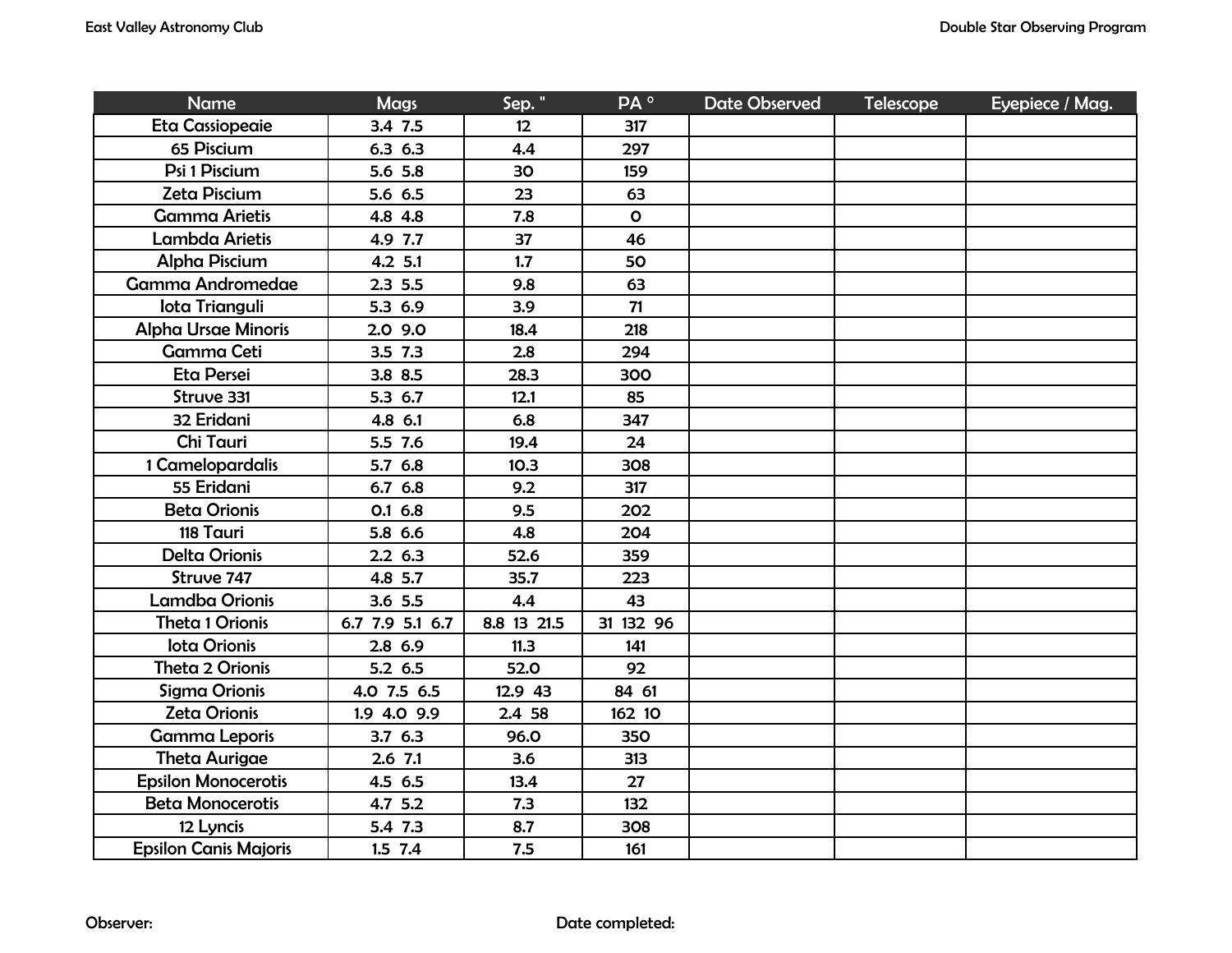| <b>Name</b>                  | <b>Mags</b>     | Sep."       | PA °         | <b>Date Observed</b> | <b>Telescope</b> | Eyepiece / Mag. |
|------------------------------|-----------------|-------------|--------------|----------------------|------------------|-----------------|
| Eta Cassiopeaie              | 3.4 7.5         | 12          | 317          |                      |                  |                 |
| 65 Piscium                   | 6.36.3          | 4.4         | 297          |                      |                  |                 |
| Psi 1 Piscium                | 5.6 5.8         | 30          | 159          |                      |                  |                 |
| Zeta Piscium                 | 5.6 6.5         | 23          | 63           |                      |                  |                 |
| <b>Gamma Arietis</b>         | 4.8 4.8         | 7.8         | $\mathbf{o}$ |                      |                  |                 |
| Lambda Arietis               | 4.9 7.7         | 37          | 46           |                      |                  |                 |
| <b>Alpha Piscium</b>         | 4.2 5.1         | 1.7         | 50           |                      |                  |                 |
| <b>Gamma Andromedae</b>      | 2.35.5          | 9.8         | 63           |                      |                  |                 |
| lota Trianguli               | 5.3 6.9         | 3.9         | 71           |                      |                  |                 |
| <b>Alpha Ursae Minoris</b>   | 2.0 9.0         | 18.4        | 218          |                      |                  |                 |
| <b>Gamma Ceti</b>            | $3.5$ $7.3$     | 2.8         | 294          |                      |                  |                 |
| Eta Persei                   | 3.8 8.5         | 28.3        | 300          |                      |                  |                 |
| Struve 331                   | 5.3 6.7         | 12.1        | 85           |                      |                  |                 |
| 32 Eridani                   | 4.8 6.1         | 6.8         | 347          |                      |                  |                 |
| Chi Tauri                    | 5.5 7.6         | 19.4        | 24           |                      |                  |                 |
| 1 Camelopardalis             | 5.7 6.8         | 10.3        | 308          |                      |                  |                 |
| 55 Eridani                   | 6.7 6.8         | 9.2         | 317          |                      |                  |                 |
| <b>Beta Orionis</b>          | $0.1\,6.8$      | 9.5         | 202          |                      |                  |                 |
| 118 Tauri                    | 5.8 6.6         | 4.8         | 204          |                      |                  |                 |
| <b>Delta Orionis</b>         | 2.26.3          | 52.6        | 359          |                      |                  |                 |
| Struve 747                   | 4.8 5.7         | 35.7        | 223          |                      |                  |                 |
| <b>Lamdba Orionis</b>        | 3.6 5.5         | 4.4         | 43           |                      |                  |                 |
| <b>Theta 1 Orionis</b>       | 6.7 7.9 5.1 6.7 | 8.8 13 21.5 | 31 132 96    |                      |                  |                 |
| <b>lota Orionis</b>          | $2.8$ 6.9       | 11.3        | 141          |                      |                  |                 |
| Theta 2 Orionis              | 5.2 6.5         | 52.0        | 92           |                      |                  |                 |
| Sigma Orionis                | 4.0 7.5 6.5     | 12.9 43     | 84 61        |                      |                  |                 |
| Zeta Orionis                 | 1.9 4.0 9.9     | 2.4 58      | 162 10       |                      |                  |                 |
| <b>Gamma Leporis</b>         | 3.76.3          | 96.0        | <b>350</b>   |                      |                  |                 |
| <b>Theta Aurigae</b>         | $2.6$ 7.1       | 3.6         | 313          |                      |                  |                 |
| <b>Epsilon Monocerotis</b>   | 4.5 6.5         | 13.4        | 27           |                      |                  |                 |
| <b>Beta Monocerotis</b>      | 4.7 5.2         | 7.3         | 132          |                      |                  |                 |
| 12 Lyncis                    | 5.4 7.3         | 8.7         | 308          |                      |                  |                 |
| <b>Epsilon Canis Majoris</b> | $1.5$ 7.4       | 7.5         | 161          |                      |                  |                 |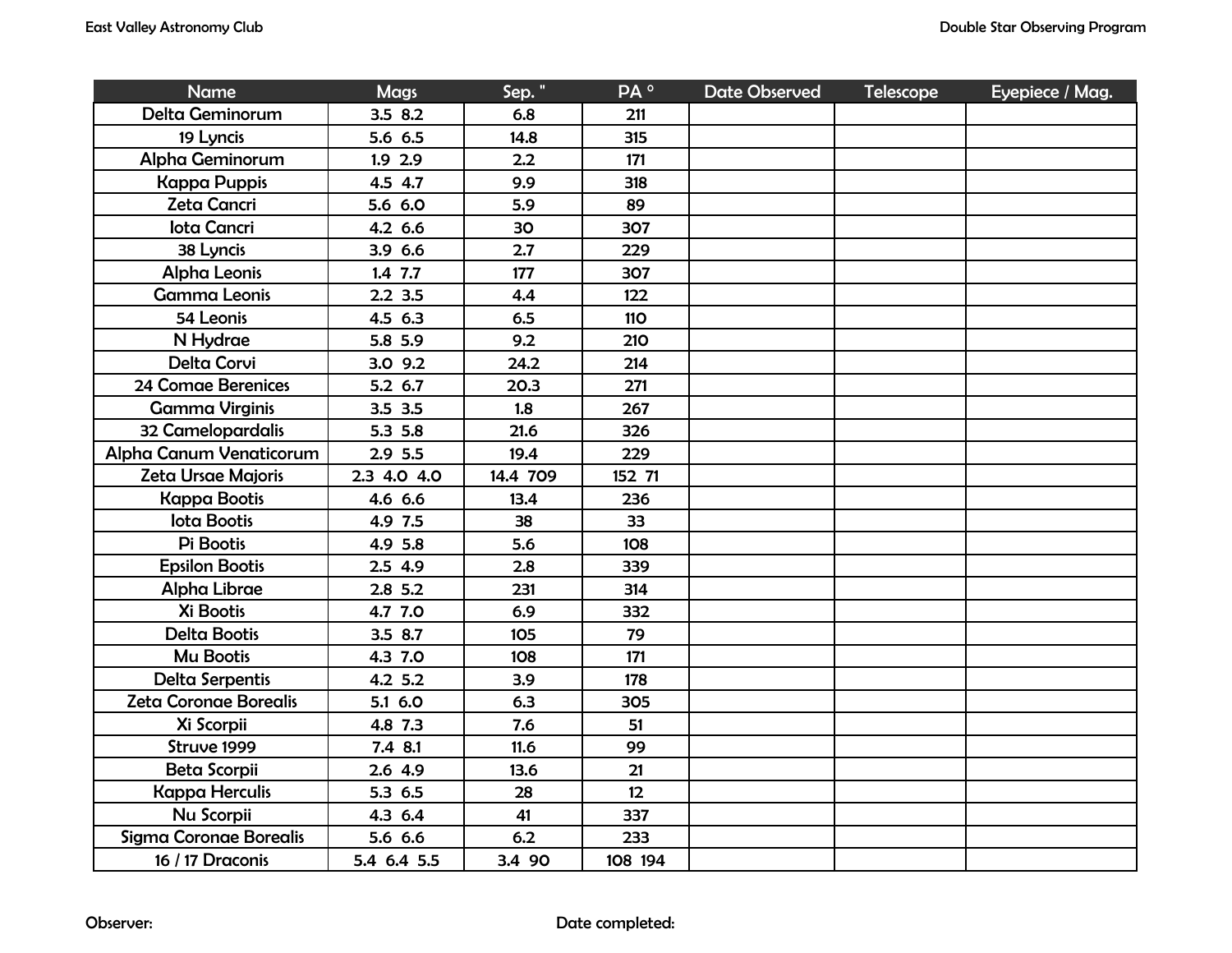| <b>Name</b>                    | <b>Mags</b> | Sep."    | PA <sup>o</sup> | Date Observed | <b>Telescope</b> | Eyepiece / Mag. |
|--------------------------------|-------------|----------|-----------------|---------------|------------------|-----------------|
| Delta Geminorum                | 3.5 8.2     | 6.8      | 211             |               |                  |                 |
| 19 Lyncis                      | 5.6 6.5     | 14.8     | 315             |               |                  |                 |
| Alpha Geminorum                | $1.9$ 2.9   | 2.2      | 171             |               |                  |                 |
| <b>Kappa Puppis</b>            | 4.5 4.7     | 9.9      | 318             |               |                  |                 |
| Zeta Cancri                    | 5.6 6.0     | 5.9      | 89              |               |                  |                 |
| <b>Iota Cancri</b>             | 4.2 6.6     | 30       | 307             |               |                  |                 |
| 38 Lyncis                      | 3.9 6.6     | 2.7      | 229             |               |                  |                 |
| <b>Alpha Leonis</b>            | $1.4$ 7.7   | 177      | 307             |               |                  |                 |
| <b>Gamma Leonis</b>            | $2.2$ 3.5   | 4.4      | 122             |               |                  |                 |
| 54 Leonis                      | 4.5 6.3     | 6.5      | <b>110</b>      |               |                  |                 |
| N Hydrae                       | 5.8 5.9     | 9.2      | 210             |               |                  |                 |
| <b>Delta Corvi</b>             | $3.0$ $9.2$ | 24.2     | 214             |               |                  |                 |
| 24 Comae Berenices             | 5.2 6.7     | 20.3     | 271             |               |                  |                 |
| <b>Gamma Virginis</b>          | 3.5 3.5     | 1.8      | 267             |               |                  |                 |
| 32 Camelopardalis              | 5.3 5.8     | 21.6     | 326             |               |                  |                 |
| <b>Alpha Canum Venaticorum</b> | 2.9 5.5     | 19.4     | 229             |               |                  |                 |
| Zeta Ursae Majoris             | 2.3 4.0 4.0 | 14.4 709 | 152 71          |               |                  |                 |
| <b>Kappa Bootis</b>            | 4.6 6.6     | 13.4     | 236             |               |                  |                 |
| <b>lota Bootis</b>             | 4.9 7.5     | 38       | 33              |               |                  |                 |
| Pi Bootis                      | 4.9 5.8     | 5.6      | 108             |               |                  |                 |
| <b>Epsilon Bootis</b>          | 2.5 4.9     | 2.8      | 339             |               |                  |                 |
| Alpha Librae                   | $2.8$ 5.2   | 231      | 314             |               |                  |                 |
| Xi Bootis                      | 4.7 7.0     | 6.9      | 332             |               |                  |                 |
| Delta Bootis                   | 3.5 8.7     | 105      | 79              |               |                  |                 |
| Mu Bootis                      | 4.3 7.0     | 108      | 171             |               |                  |                 |
| Delta Serpentis                | 4.2 5.2     | 3.9      | 178             |               |                  |                 |
| Zeta Coronae Borealis          | 5.1 6.0     | 6.3      | 305             |               |                  |                 |
| Xi Scorpii                     | 4.8 7.3     | 7.6      | 51              |               |                  |                 |
| Struve 1999                    | 7.4 8.1     | 11.6     | 99              |               |                  |                 |
| Beta Scorpii                   | 2.6 4.9     | 13.6     | 21              |               |                  |                 |
| <b>Kappa Herculis</b>          | 5.3 6.5     | 28       | 12              |               |                  |                 |
| Nu Scorpii                     | 4.3 6.4     | 41       | 337             |               |                  |                 |
| Sigma Coronae Borealis         | 5.6 6.6     | 6.2      | 233             |               |                  |                 |
| 16 / 17 Draconis               | 5.4 6.4 5.5 | 3.4 90   | 108 194         |               |                  |                 |